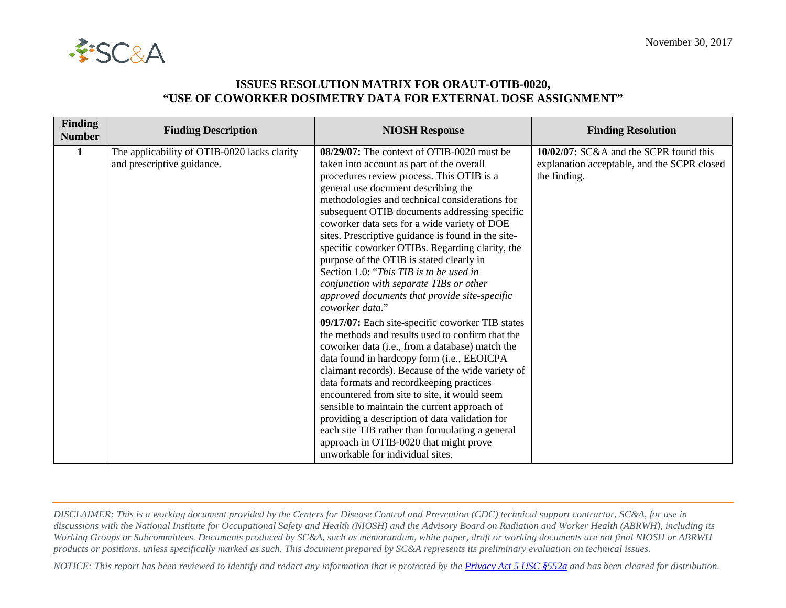

## **ISSUES RESOLUTION MATRIX FOR ORAUT-OTIB-0020, "USE OF COWORKER DOSIMETRY DATA FOR EXTERNAL DOSE ASSIGNMENT"**

| <b>Finding</b><br><b>Number</b> | <b>Finding Description</b>                                                 | <b>NIOSH Response</b>                                                                                                                                                                                                                                                                                                                                                                                                                                                                                                                                                                                                                         | <b>Finding Resolution</b>                                                                             |
|---------------------------------|----------------------------------------------------------------------------|-----------------------------------------------------------------------------------------------------------------------------------------------------------------------------------------------------------------------------------------------------------------------------------------------------------------------------------------------------------------------------------------------------------------------------------------------------------------------------------------------------------------------------------------------------------------------------------------------------------------------------------------------|-------------------------------------------------------------------------------------------------------|
| 1                               | The applicability of OTIB-0020 lacks clarity<br>and prescriptive guidance. | 08/29/07: The context of OTIB-0020 must be<br>taken into account as part of the overall<br>procedures review process. This OTIB is a<br>general use document describing the<br>methodologies and technical considerations for<br>subsequent OTIB documents addressing specific<br>coworker data sets for a wide variety of DOE<br>sites. Prescriptive guidance is found in the site-<br>specific coworker OTIBs. Regarding clarity, the<br>purpose of the OTIB is stated clearly in<br>Section 1.0: "This TIB is to be used in<br>conjunction with separate TIBs or other<br>approved documents that provide site-specific<br>coworker data." | 10/02/07: SC&A and the SCPR found this<br>explanation acceptable, and the SCPR closed<br>the finding. |
|                                 |                                                                            | 09/17/07: Each site-specific coworker TIB states<br>the methods and results used to confirm that the<br>coworker data (i.e., from a database) match the<br>data found in hardcopy form (i.e., EEOICPA<br>claimant records). Because of the wide variety of<br>data formats and recordkeeping practices<br>encountered from site to site, it would seem<br>sensible to maintain the current approach of<br>providing a description of data validation for<br>each site TIB rather than formulating a general<br>approach in OTIB-0020 that might prove<br>unworkable for individual sites.                                                     |                                                                                                       |

*DISCLAIMER: This is a working document provided by the Centers for Disease Control and Prevention (CDC) technical support contractor, SC&A, for use in discussions with the National Institute for Occupational Safety and Health (NIOSH) and the Advisory Board on Radiation and Worker Health (ABRWH), including its Working Groups or Subcommittees. Documents produced by SC&A, such as memorandum, white paper, draft or working documents are not final NIOSH or ABRWH products or positions, unless specifically marked as such. This document prepared by SC&A represents its preliminary evaluation on technical issues.*

*NOTICE: This report has been reviewed to identify and redact any information that is protected by the [Privacy Act 5 USC §552a](http://www.justice.gov/opcl/privacy-act-1974) and has been cleared for distribution.*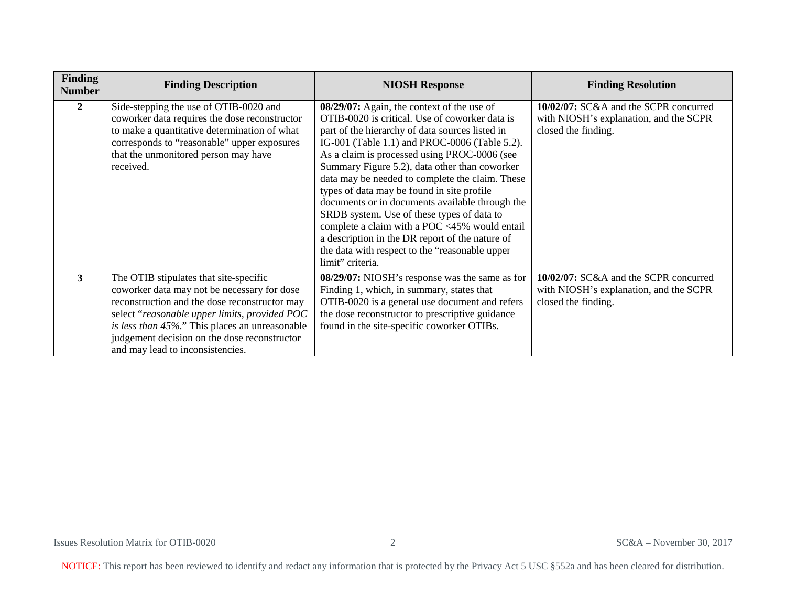| Finding<br><b>Number</b> | <b>Finding Description</b>                                                                                                                                                                                                                                                                                                    | <b>NIOSH Response</b>                                                                                                                                                                                                                                                                                                                                                                                                                                                                                                                                                                                                                                                         | <b>Finding Resolution</b>                                                                              |
|--------------------------|-------------------------------------------------------------------------------------------------------------------------------------------------------------------------------------------------------------------------------------------------------------------------------------------------------------------------------|-------------------------------------------------------------------------------------------------------------------------------------------------------------------------------------------------------------------------------------------------------------------------------------------------------------------------------------------------------------------------------------------------------------------------------------------------------------------------------------------------------------------------------------------------------------------------------------------------------------------------------------------------------------------------------|--------------------------------------------------------------------------------------------------------|
| $\mathbf{2}$             | Side-stepping the use of OTIB-0020 and<br>coworker data requires the dose reconstructor<br>to make a quantitative determination of what<br>corresponds to "reasonable" upper exposures<br>that the unmonitored person may have<br>received.                                                                                   | 08/29/07: Again, the context of the use of<br>OTIB-0020 is critical. Use of coworker data is<br>part of the hierarchy of data sources listed in<br>IG-001 (Table 1.1) and PROC-0006 (Table 5.2).<br>As a claim is processed using PROC-0006 (see<br>Summary Figure 5.2), data other than coworker<br>data may be needed to complete the claim. These<br>types of data may be found in site profile<br>documents or in documents available through the<br>SRDB system. Use of these types of data to<br>complete a claim with a POC <45% would entail<br>a description in the DR report of the nature of<br>the data with respect to the "reasonable upper<br>limit" criteria. | 10/02/07: SC&A and the SCPR concurred<br>with NIOSH's explanation, and the SCPR<br>closed the finding. |
| 3                        | The OTIB stipulates that site-specific<br>coworker data may not be necessary for dose<br>reconstruction and the dose reconstructor may<br>select "reasonable upper limits, provided POC<br>is less than 45%." This places an unreasonable<br>judgement decision on the dose reconstructor<br>and may lead to inconsistencies. | 08/29/07: NIOSH's response was the same as for<br>Finding 1, which, in summary, states that<br>OTIB-0020 is a general use document and refers<br>the dose reconstructor to prescriptive guidance<br>found in the site-specific coworker OTIBs.                                                                                                                                                                                                                                                                                                                                                                                                                                | 10/02/07: SC&A and the SCPR concurred<br>with NIOSH's explanation, and the SCPR<br>closed the finding. |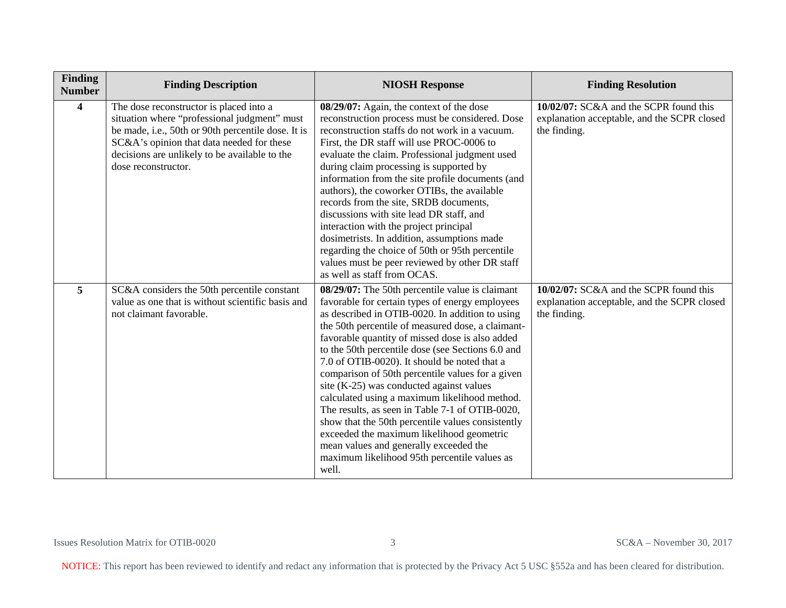| Finding<br><b>Number</b> | <b>Finding Description</b>                                                                                                                                                                                                                                         | <b>NIOSH Response</b>                                                                                                                                                                                                                                                                                                                                                                                                                                                                                                                                                                                                                                                                                                                                                       | <b>Finding Resolution</b>                                                                             |
|--------------------------|--------------------------------------------------------------------------------------------------------------------------------------------------------------------------------------------------------------------------------------------------------------------|-----------------------------------------------------------------------------------------------------------------------------------------------------------------------------------------------------------------------------------------------------------------------------------------------------------------------------------------------------------------------------------------------------------------------------------------------------------------------------------------------------------------------------------------------------------------------------------------------------------------------------------------------------------------------------------------------------------------------------------------------------------------------------|-------------------------------------------------------------------------------------------------------|
| $\overline{\mathbf{4}}$  | The dose reconstructor is placed into a<br>situation where "professional judgment" must<br>be made, i.e., 50th or 90th percentile dose. It is<br>SC&A's opinion that data needed for these<br>decisions are unlikely to be available to the<br>dose reconstructor. | 08/29/07: Again, the context of the dose<br>reconstruction process must be considered. Dose<br>reconstruction staffs do not work in a vacuum.<br>First, the DR staff will use PROC-0006 to<br>evaluate the claim. Professional judgment used<br>during claim processing is supported by<br>information from the site profile documents (and<br>authors), the coworker OTIBs, the available<br>records from the site, SRDB documents,<br>discussions with site lead DR staff, and<br>interaction with the project principal<br>dosimetrists. In addition, assumptions made<br>regarding the choice of 50th or 95th percentile<br>values must be peer reviewed by other DR staff<br>as well as staff from OCAS.                                                               | 10/02/07: SC&A and the SCPR found this<br>explanation acceptable, and the SCPR closed<br>the finding. |
| 5                        | SC&A considers the 50th percentile constant<br>value as one that is without scientific basis and<br>not claimant favorable.                                                                                                                                        | 08/29/07: The 50th percentile value is claimant<br>favorable for certain types of energy employees<br>as described in OTIB-0020. In addition to using<br>the 50th percentile of measured dose, a claimant-<br>favorable quantity of missed dose is also added<br>to the 50th percentile dose (see Sections 6.0 and<br>7.0 of OTIB-0020). It should be noted that a<br>comparison of 50th percentile values for a given<br>site (K-25) was conducted against values<br>calculated using a maximum likelihood method.<br>The results, as seen in Table 7-1 of OTIB-0020,<br>show that the 50th percentile values consistently<br>exceeded the maximum likelihood geometric<br>mean values and generally exceeded the<br>maximum likelihood 95th percentile values as<br>well. | 10/02/07: SC&A and the SCPR found this<br>explanation acceptable, and the SCPR closed<br>the finding. |